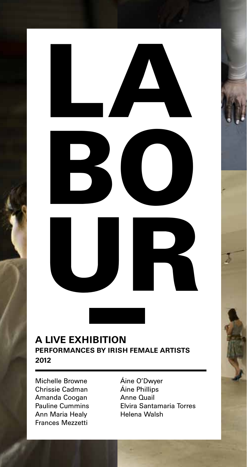

## **a live exhibition performances by Irish female artists 2012**

Michelle Browne Chrissie Cadman Amanda Coogan Pauline Cummins Ann Maria Healy Frances Mezzetti

Áine O'Dwyer Áine Phillips Anne Quail Elvira Santamaria Torres Helena Walsh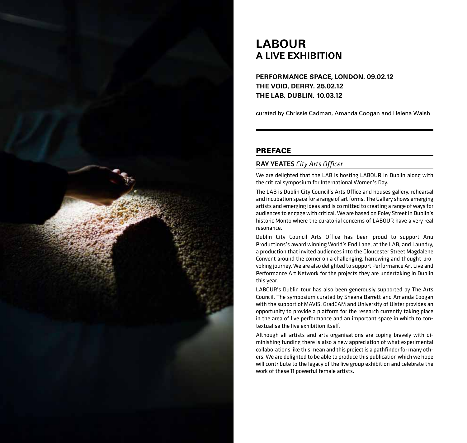

# **labour a live exhibition**

### **performance space, london. 09.02.12 The void, derry. 25.02.12 the lab, dublin. 10.03.12**

curated by Chrissie Cadman, Amanda Coogan and Helena Walsh

#### **PREFACE**

#### Ray Yeates *City Arts Officer*

We are delighted that the LAB is hosting LABOUR in Dublin along with the critical symposium for International Women's Day.

The LAB is Dublin City Council's Arts Office and houses gallery, rehearsal and incubation space for a range of art forms. The Gallery shows emerging artists and emerging ideas and is co mitted to creating a range of ways for audiences to engage with critical. We are based on Foley Street in Dublin's historic Monto where the curatorial concerns of LABOUR have a very real resonance.

Dublin City Council Arts Office has been proud to support Anu Productions's award winning World's End Lane, at the LAB, and Laundry, a production that invited audiences into the Gloucester Street Magdalene Convent around the corner on a challenging, harrowing and thought-provoking journey. We are also delighted to support Performance Art Live and Performance Art Network for the projects they are undertaking in Dublin this year.

LABOUR's Dublin tour has also been generously supported by The Arts Council. The symposium curated by Sheena Barrett and Amanda Coogan with the support of MAVIS, GradCAM and University of Ulster provides an opportunity to provide a platform for the research currently taking place in the area of live performance and an important space in which to contextualise the live exhibition itself.

Although all artists and arts organisations are coping bravely with diminishing funding there is also a new appreciation of what experimental collaborations like this mean and this project is a pathfinder for many others. We are delighted to be able to produce this publication which we hope will contribute to the legacy of the live group exhibition and celebrate the work of these 11 powerful female artists.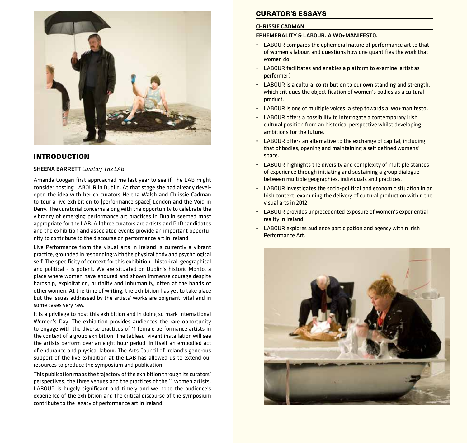

#### INTRODUCTION

#### SHEENA BARRETT *Curator/ The LAB*

Amanda Coogan first approached me last year to see if The LAB might consider hosting LABOUR in Dublin. At that stage she had already developed the idea with her co-curators Helena Walsh and Chrissie Cadman to tour a live exhibition to ]performance space[ London and the Void in Derry. The curatorial concerns along with the opportunity to celebrate the vibrancy of emerging performance art practices in Dublin seemed most appropriate for the LAB. All three curators are artists and PhD candidates and the exhibition and associated events provide an important opportunity to contribute to the discourse on performance art in Ireland.

Live Performance from the visual arts in Ireland is currently a vibrant practice, grounded in responding with the physical body and psychological self. The specificity of context for this exhibition - historical, geographical and political - is potent. We are situated on Dublin's historic Monto, a place where women have endured and shown immense courage despite hardship, exploitation, brutality and inhumanity, often at the hands of other women. At the time of writing, the exhibition has yet to take place but the issues addressed by the artists' works are poignant, vital and in some cases very raw.

It is a privilege to host this exhibition and in doing so mark International Women's Day. The exhibition provides audiences the rare opportunity to engage with the diverse practices of 11 female performance artists in the context of a group exhibition. The tableau vivant installation will see the artists perform over an eight hour period, in itself an embodied act of endurance and physical labour. The Arts Council of Ireland's generous support of the live exhibition at the LAB has allowed us to extend our resources to produce the symposium and publication.

This publication maps the trajectory of the exhibition through its curators' perspectives, the three venues and the practices of the 11 women artists. LABOUR is hugely significant and timely and we hope the audience's experience of the exhibition and the critical discourse of the symposium contribute to the legacy of performance art in Ireland.

#### CURATOR'S ESSAYS

#### CHRISSIE CADMAN

#### Ephemerality & LABOUR. A wo+manifesto.

- LABOUR compares the ephemeral nature of performance art to that of women's labour, and questions how one quantifies the work that women do.
- LABOUR facilitates and enables a platform to examine 'artist as performer'.
- LABOUR is a cultural contribution to our own standing and strength, which critiques the objectification of women's bodies as a cultural product.
- LABOUR is one of multiple voices, a step towards a 'wo+manifesto'.
- LABOUR offers a possibility to interrogate a contemporary Irish cultural position from an historical perspective whilst developing ambitions for the future.
- LABOUR offers an alternative to the exchange of capital, including that of bodies, opening and maintaining a self defined womens' space.
- LABOUR highlights the diversity and complexity of multiple stances of experience through initiating and sustaining a group dialogue between multiple geographies, individuals and practices.
- LABOUR investigates the socio-political and economic situation in an Irish context, examining the delivery of cultural production within the visual arts in 2012.
- LABOUR provides unprecedented exposure of women's experiential reality in Ireland
- LABOUR explores audience participation and agency within Irish Performance Art.

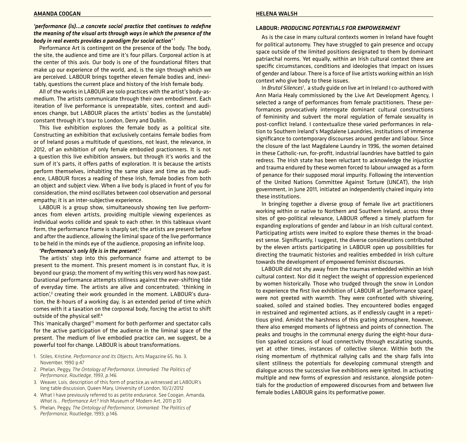#### *'performance (is)...a concrete social practice that continues to redefine the meaning of the visual arts through ways in which the presence of the body in real events provides a paradigm for social action'* <sup>1</sup>

Performance Art is contingent on the presence of the body. The body, the site, the audience and time are it's four pillars. Corporeal action is at the center of this axis. Our body is one of the foundational filters that make up our experience of the world, and, is the sign through which we are perceived. LABOUR brings together eleven female bodies and, inevitably, questions the current place and history of the Irish female body.

All of the works in LABOUR are solo practices with the artist's body-asmedium. The artists communicate through their own embodiment. Each iteration of live performance is unrepeatable, sites, context and audiences change, but LABOUR places the artists' bodies as the (unstable) constant through it's tour to London, Derry and Dublin.

This live exhibition explores the female body as a political site. Constructing an exhibition that exclusively contains female bodies from or of Ireland poses a multitude of questions, not least, the relevance, in 2012, of an exhibition of only female embodied practionners. It is not a question this live exhibition answers, but through it's works and the sum of it's parts, it offers paths of exploration. It is because the artists perform themselves, inhabiting the same place and time as the audience, LABOUR forces a reading of these Irish, female bodies from both an object and subject view. When a live body is placed in front of you for consideration, the mind oscillates between cool observation and personal empathy; it is an inter-subjective experience.

LABOUR is a group show, simultaneously showing ten live performances from eleven artists, providing multiple viewing experiences as individual works collide and speak to each other. In this tableaux vivant form, the performance frame is sharply set; the artists are present before and after the audience, allowing the liminal space of the live performance to be held in the minds eye of the audience, proposing an infinite loop.

#### *'Performance's only life is in the present'.*<sup>2</sup>

The artists' step into this performance frame and attempt to be present to the moment. This present moment is in constant flux, it is beyond our grasp; the moment of my writing this very word has now past. Durational performance attempts stillness against the ever-shifting tide of everyday time. The artists are alive and concentrated; 'thinking in action',<sup>3</sup> creating their work grounded in the moment. LABOUR's duration, the 8-hours of a working day, is an extended period of time which comes with it a taxation on the corporeal body, forcing the artist to shift outside of the physical self.4

This 'manically charged'<sup>5</sup> moment for both performer and spectator calls for the active participation of the audience in the liminal space of the present. The medium of live embodied practice can, we suggest, be a powerful tool for change. LABOUR is about transformations.

- 1. Stiles, Kristine, *Performance and its Objects*, Arts Magazine 65, No. 3, November, 1990 p.47
- 2. Phelan, Peggy, *The Ontology of Performance, Unmarked: The Politics of Performance, Routledge, 1993, p.146.*
- 3. Weaver, Lois, description of this form of practice,as witnessed at LABOUR's long table discussion, Queen Mary, University of London, 10/2/2012
- 4. What I have previously referred to as petite endurance, See Coogan, Amanda, *What is... Performance Art? I*rish Museum of Modern Art, 2011 p.10
- 5. Phelan, Peggy, *The Ontology of Performance, Unmarked: The Politics of Performance,* Routledge, 1993, p.146.

#### Helena Walsh

#### LABOUR: *Producing Potentials for Empowerment*

As is the case in many cultural contexts women in Ireland have fought for political autonomy. They have struggled to gain presence and occupy space outside of the limited positions designated to them by dominant patriarchal norms. Yet equally, within an Irish cultural context there are specific circumstances, conditions and ideologies that impact on issues of gender and labour. There is a force of live artists working within an Irish context who give body to these issues.

In *Brutal Silences<sup>1</sup>*, a study guide on live art in Ireland I co-authored with Ann Maria Healy commissioned by the Live Art Development Agency, I selected a range of performances from female practitioners. These performances provocatively interrogate dominant cultural constructions of femininity and subvert the moral regulation of female sexuality in post-conflict Ireland. I contextualize these varied performances in relation to Southern Ireland's Magdalene Laundries, institutions of immense significance to contemporary discourses around gender and labour. Since the closure of the last Magdalene Laundry in 1996, the women detained in these Catholic-run, for-profit, industrial laundries have battled to gain redress. The Irish state has been reluctant to acknowledge the injustice and trauma endured by these women forced to labour unwaged as a form of penance for their supposed moral impurity. Following the intervention of the United Nations Committee Against Torture (UNCAT), the Irish government, in June 2011, initiated an independently chaired inquiry into these institutions.

In bringing together a diverse group of female live art practitioners working within or native to Northern and Southern Ireland, across three sites of geo-political relevance, LABOUR offered a timely platform for expanding explorations of gender and labour in an Irish cultural context. Participating artists were invited to explore these themes in the broadest sense. Significantly, I suggest, the diverse considerations contributed by the eleven artists participating in LABOUR open up possibilities for directing the traumatic histories and realities embedded in Irish culture towards the development of empowered feminist discourses.

LABOUR did not shy away from the traumas embedded within an Irish cultural context. Nor did it neglect the weight of oppression experienced by women historically. Those who trudged through the snow in London to experience the first live exhibition of LABOUR at ]performance space[ were not greeted with warmth. They were confronted with shivering, soaked, soiled and stained bodies. They encountered bodies engaged in restrained and regimented actions, as if endlessly caught in a repetitious grind. Amidst the harshness of this grating atmosphere, however, there also emerged moments of lightness and points of connection. The peaks and troughs in the communal energy during the eight-hour duration sparked occasions of loud connectivity through escalating sounds, yet at other times, instances of collective silence. Within both the rising momentum of rhythmical rallying calls and the sharp falls into silent stillness the potentials for developing communal strength and dialogue across the successive live exhibitions were ignited. In activating multiple and new forms of expression and resistance, alongside potentials for the production of empowered discourses from and between live female bodies LABOUR gains its performative power.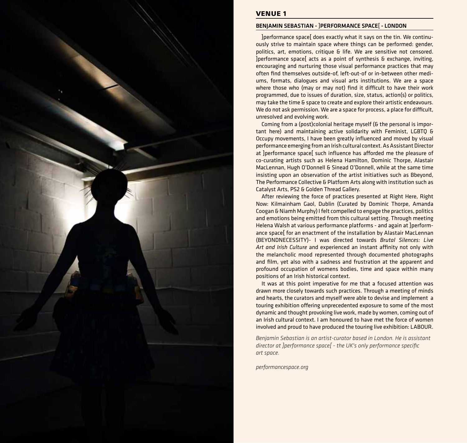

#### VENUE 1

#### Benjamin Sebastian - ]performance space[ - london

]performance space[ does exactly what it says on the tin. We continuously strive to maintain space where things can be performed: gender, politics, art, emotions, critique & life. We are sensitive not censored. ]performance space[ acts as a point of synthesis & exchange, inviting, encouraging and nurturing those visual performance practices that may often find themselves outside-of, left-out-of or in-between other mediums, formats, dialogues and visual arts institutions. We are a space where those who (may or may not) find it difficult to have their work programmed, due to issues of duration, size, status, action(s) or politics, may take the time & space to create and explore their artistic endeavours. We do not ask permission. We are a space for process, a place for difficult, unresolved and evolving work.

Coming from a (post)colonial heritage myself (& the personal is important here) and maintaining active solidarity with Feminist, LGBTQ & Occupy movements, I have been greatly influenced and moved by visual performance emerging from an Irish cultural context. As Assistant Director at ]performance space[ such influence has afforded me the pleasure of co-curating artists such as Helena Hamilton, Dominic Thorpe, Alastair MacLennan, Hugh O'Donnell & Sinead O'Donnell, while at the same time insisting upon an observation of the artist initiatives such as Bbeyond, The Performance Collective & Platform Arts along with institution such as Catalyst Arts, PS2 & Golden Thread Gallery.

After reviewing the force of practices presented at Right Here, Right Now: Kilmainham Gaol, Dublin (Curated by Dominic Thorpe, Amanda Coogan & Niamh Murphy) I felt compelled to engage the practices, politics and emotions being emitted from this cultural setting. Through meeting Helena Walsh at various performance platforms - and again at ]performance space[ for an enactment of the installation by Alastair MacLennan (BEYONDNECESSITY)- I was directed towards *Brutal Silences: Live Art and Irish Culture* and experienced an instant affinity not only with the melancholic mood represented through documented photographs and film, yet also with a sadness and frustration at the apparent and profound occupation of womens bodies, time and space within many positions of an Irish historical context.

It was at this point imperative for me that a focused attention was drawn more closely towards such practices. Through a meeting of minds and hearts, the curators and myself were able to devise and implement a touring exhibition offering unprecedented exposure to some of the most dynamic and thought provoking live work, made by women, coming out of an Irish cultural context. I am honoured to have met the force of women involved and proud to have produced the touring live exhibition: LABOUR.

*Benjamin Sebastian is an artist-curator based in London. He is assistant director at ]performance space[ - the UK's only performance specific art space.*

*performancespace.org*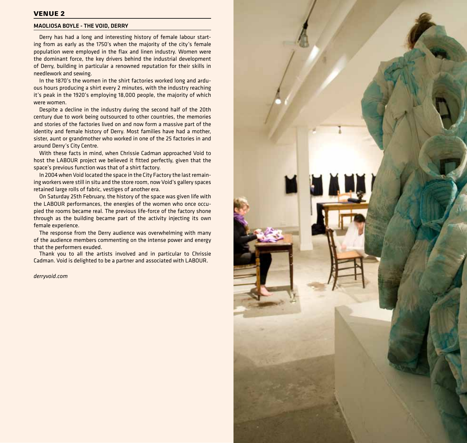#### VENUE 2

#### Maoliosa Boyle - the Void, Derry

Derry has had a long and interesting history of female labour starting from as early as the 1750's when the majority of the city's female population were employed in the flax and linen industry. Women were the dominant force, the key drivers behind the industrial development of Derry, building in particular a renowned reputation for their skills in needlework and sewing.

In the 1870's the women in the shirt factories worked long and arduous hours producing a shirt every 2 minutes, with the industry reaching it's peak in the 1920's employing 18,000 people, the majority of which were women.

Despite a decline in the industry during the second half of the 20th century due to work being outsourced to other countries, the memories and stories of the factories lived on and now form a massive part of the identity and female history of Derry. Most families have had a mother, sister, aunt or grandmother who worked in one of the 25 factories in and around Derry's City Centre.

With these facts in mind, when Chrissie Cadman approached Void to host the LABOUR project we believed it fitted perfectly, given that the space's previous function was that of a shirt factory.

In 2004 when Void located the space in the City Factory the last remaining workers were still in situ and the store room, now Void's gallery spaces retained large rolls of fabric, vestiges of another era.

On Saturday 25th February, the history of the space was given life with the LABOUR performances, the energies of the women who once occupied the rooms became real. The previous life-force of the factory shone through as the building became part of the activity injecting its own female experience.

The response from the Derry audience was overwhelming with many of the audience members commenting on the intense power and energy that the performers exuded.

Thank you to all the artists involved and in particular to Chrissie Cadman. Void is delighted to be a partner and associated with Labour.

*derryvoid.com*

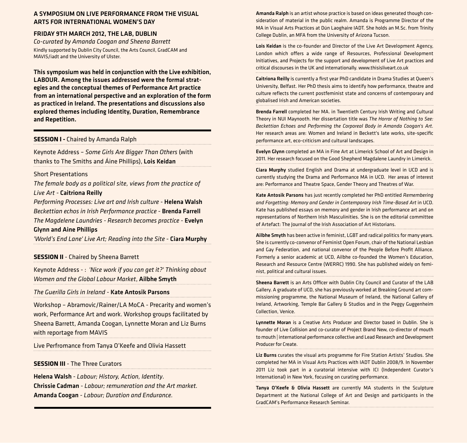#### A Symposium on Live Performance from the Visual Arts for International Women's Day

#### Friday 9th March 2012, The LAB, Dublin

*Co-curated by Amanda Coogan and Sheena Barrett* Kindly supported by Dublin City Council, the Arts Council, GradCAM and MAVIS/iadt and the University of Ulster.

This symposium was held in conjunction with the Live exhibition, LABOUR. Among the issues addressed were the formal strategies and the conceptual themes of Performance Art practice from an international perspective and an exploration of the form as practiced in Ireland. The presentations and discussions also explored themes including Identity, Duration, Remembrance and Repetition.

#### **SESSION I - Chaired by Amanda Ralph**

Keynote Address – *Some Girls Are Bigger Than Others* (with thanks to The Smiths and Áine Phillips), Lois Keidan

#### Short Presentations

*The female body as a political site, views from the practice of Live Art* - Caitriona Reilly

*Performing Processes: Live art and Irish culture* - Helena Walsh *Beckettian echos in Irish Performance practice* - Brenda Farrell *The Magdelene Laundries - Research becomes practice* - Evelyn Glynn and Aine Phillips

'World's End Lane' Live Art; Reading into the Site - Ciara Murphy

#### **Session II** - Chaired by Sheena Barrett

Keynote Address - : *'Nice work if you can get it?' Thinking about Women and the Global Labour Market*, Ailbhe Smyth

*The Guerilla Girls in Ireland* - Kate Antosik Parsons

Workshop – Abramovic/Rainer/LA MoCA - Precarity and women's work, Performance Art and work. Workshop groups facilitated by Sheena Barrett, Amanda Coogan, Lynnette Moran and Liz Burns with reportage from MAVIS

Live Perfromance from Tanya O'Keefe and Olivia Hassett

**SESSION III** - The Three Curators

Helena Walsh - *Labour; History, Action, Identity*. Chrissie Cadman - *Labour; remuneration and the Art market.* Amanda Coogan - *Labour; Duration and Endurance.*

Amanda Ralph is an artist whose practice is based on ideas generated though consideration of material in the public realm. Amanda is Programme Director of the MA in Visual Arts Practices at Dún Laoghaire IADT. She holds an M.Sc. from Trinity College Dublin, an MFA from the University of Arizona Tucson.

Lois Keidan is the co-founder and Director of the Live Art Development Agency, London which offers a wide range of Resources, Professional Development Initiatives, and Projects for the support and development of Live Art practices and critical discourses in the UK and internationally. www.thisisliveart.co.uk

Caitriona Reilly is currently a first year PhD candidate in Drama Studies at Queen's University, Belfast. Her PhD thesis aims to identify how performance, theatre and culture reflects the current postfeminist state and concerns of contemporary and globalised Irish and American societies.

Brenda Farrell completed her MA. in Twentieth Century Irish Writing and Cultural Theory in NUI Maynooth. Her dissertation title was *The Horror of Nothing to See: Beckettian Echoes and Performing the Corporeal Body in Amanda Coogan's Art.*  Her research areas are: Women and Ireland in Beckett's late works, site-specific performance art, eco-criticism and cultural landscapes.

Evelyn Glynn completed an MA in Fine Art at Limerick School of Art and Design in 2011. Her research focused on the Good Shepherd Magdalene Laundry in Limerick.

Ciara Murphy studied English and Drama at undergraduate level in UCD and is currently studying the Drama and Performance MA in UCD. Her areas of interest are: Performance and Theatre Space, Gender Theory and Theatres of War.

Kate Antosik Parsons has just recently completed her PhD entitled *Remembering and Forgetting: Memory and Gender in Contemporary Irish Time-Based Art* in UCD. Kate has published essays on memory and gender in Irish performance art and on representations of Northern Irish Masculinities. She is on the editorial committee of Artefact: The Journal of the Irish Association of Art Historians.

Ailbhe Smyth has been active in feminist, LGBT and radical politics for many years. She is currently co-convenor of Feminist Open Forum, chair of the National Lesbian and Gay Federation, and national convenor of the People Before Profit Alliance. Formerly a senior academic at UCD, Ailbhe co-founded the Women's Education, Research and Resource Centre (WERRC) 1990. She has published widely on feminist, political and cultural issues.

Sheena Barrett is an Arts Officer with Dublin City Council and Curator of the LAB Gallery. A graduate of UCD, she has previously worked at Breaking Ground art commissioning programme, the National Museum of Ireland, the National Gallery of Ireland, Artworking, Temple Bar Gallery & Studios and in the Peggy Guggenheim Collection, Venice.

Lynnette Moran is a Creative Arts Producer and Director based in Dublin. She is founder of Live Collision and co-curator of Project Brand New, co-director of mouth to mouth | international performance collective and Lead Research and Development Producer for Create.

Liz Burns curates the visual arts programme for Fire Station Artists' Studios. She completed her MA in Visual Arts Practices with IADT Dublin 2008/9. In November 2011 Liz took part in a curatorial intensive with ICI (Independent Curator's International) in New York, focusing on curating performance.

Tanya O'Keefe & Olivia Hassett are currently MA students in the Sculpture Department at the National College of Art and Design and participants in the GradCAM's Performance Research Seminar.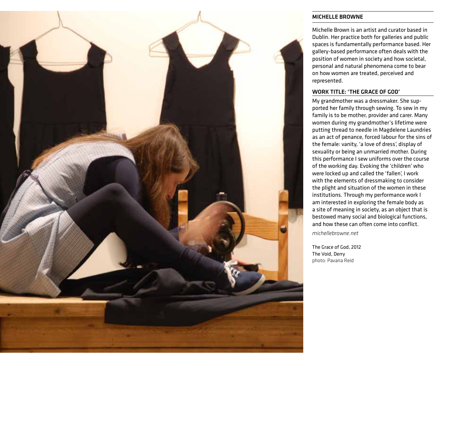

#### MICHELLE BROWNE

Michelle Brown is an artist and curator based in Dublin. Her practice both for galleries and public spaces is fundamentally performance based. Her gallery-based performance often deals with the position of women in society and how societal, personal and natural phenomena come to bear on how women are treated, perceived and represented.

#### Work Title: 'the grace of god'

My grandmother was a dressmaker. She supported her family through sewing. To sew in my family is to be mother, provider and carer. Many women during my grandmother's lifetime were putting thread to needle in Magdelene Laundries as an act of penance, forced labour for the sins of the female: vanity, 'a love of dress', display of sexuality or being an unmarried mother. During this performance I sew uniforms over the course of the working day. Evoking the 'children' who were locked up and called the 'fallen', I work with the elements of dressmaking to consider the plight and situation of the women in these institutions. Through my performance work I am interested in exploring the female body as a site of meaning in society, as an object that is bestowed many social and biological functions, and how these can often come into conflict.

*michellebrowne.net*

The Grace of God, 2012 The Void, Derry photo: Pavana Reid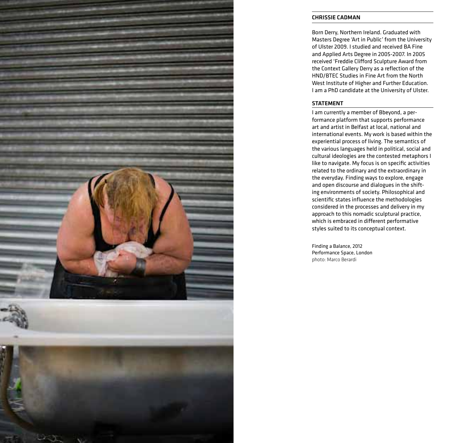

#### Chrissie Cadman

Born Derry, Northern Ireland. Graduated with Masters Degree 'Art in Public' from the University of Ulster 2009. I studied and received BA Fine and Applied Arts Degree in 2005-2007. In 2005 received 'Freddie Clifford Sculpture Award from the Context Gallery Derry as a reflection of the HND/BTEC Studies in Fine Art from the North West Institute of Higher and Further Education. I am a PhD candidate at the University of Ulster.

#### **STATEMENT**

I am currently a member of Bbeyond, a performance platform that supports performance art and artist in Belfast at local, national and international events. My work is based within the experiential process of living. The semantics of the various languages held in political, social and cultural ideologies are the contested metaphors I like to navigate. My focus is on specific activities related to the ordinary and the extraordinary in the everyday. Finding ways to explore, engage and open discourse and dialogues in the shifting environments of society. Philosophical and scientific states influence the methodologies considered in the processes and delivery in my approach to this nomadic sculptural practice, which is embraced in different performative styles suited to its conceptual context.

Finding a Balance, 2012 Performance Space, London photo: Marco Berardi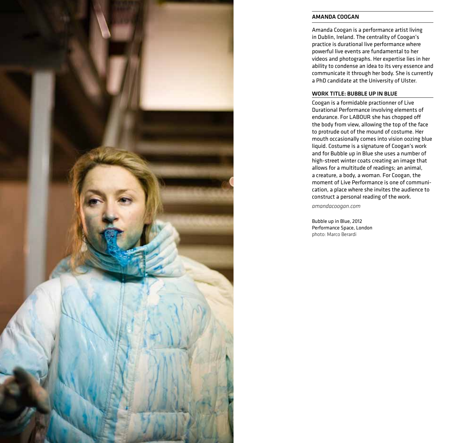

#### AMANDA COOGAN

Amanda Coogan is a performance artist living in Dublin, Ireland. The centrality of Coogan's practice is durational live performance where powerful live events are fundamental to her videos and photographs. Her expertise lies in her ability to condense an idea to its very essence and communicate it through her body. She is currently a PhD candidate at the University of Ulster.

#### WORK TITLE: BUBBLE UP IN BLUE

Coogan is a formidable practionner of Live Durational Performance involving elements of endurance. For LABOUR she has chopped off the body from view, allowing the top of the face to protrude out of the mound of costume. Her mouth occasionally comes into vision oozing blue liquid. Costume is a signature of Coogan's work and for Bubble up in Blue she uses a number of high-street winter coats creating an image that allows for a multitude of readings; an animal, a creature, a body, a woman. For Coogan, the moment of Live Performance is one of communication, a place where she invites the audience to construct a personal reading of the work.

*amandacoogan.com*

Bubble up in Blue, 2012 Performance Space, London photo: Marco Berardi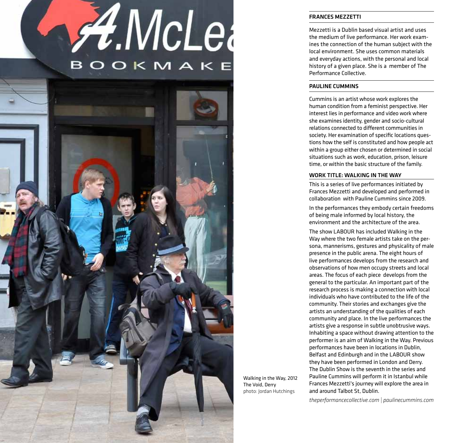# A.McLea OOKMAKE



#### FRANCES MEZZETTI

Mezzetti is a Dublin based visual artist and uses the medium of live performance. Her work examines the connection of the human subject with the local environment. She uses common materials and everyday actions, with the personal and local history of a given place. She is a member of The Performance Collective.

#### PAULINE CUMMINS

Cummins is an artist whose work explores the human condition from a feminist perspective. Her interest lies in performance and video work where she examines identity, gender and socio-cultural relations connected to different communities in society. Her examination of specific locations questions how the self is constituted and how people act within a group either chosen or determined in social situations such as work, education, prison, leisure time, or within the basic structure of the family.

#### WORK TITLE: WALKING IN THE WAY

This is a series of live performances initiated by Frances Mezzetti and developed and performed in collaboration with Pauline Cummins since 2009.

In the performances they embody certain freedoms of being male informed by local history, the environment and the architecture of the area.

The show LABOUR has included Walking in the Way where the two female artists take on the persona, mannerisms, gestures and physicality of male presence in the public arena. The eight hours of live performances develops from the research and observations of how men occupy streets and local areas. The focus of each piece develops from the general to the particular. An important part of the research process is making a connection with local individuals who have contributed to the life of the community. Their stories and exchanges give the artists an understanding of the qualities of each community and place. In the live performances the artists give a response in subtle unobtrusive ways. Inhabiting a space without drawing attention to the performer is an aim of Walking in the Way. Previous performances have been in locations in Dublin, Belfast and Edinburgh and in the LABOUR show they have been performed in London and Derry. The Dublin Show is the seventh in the series and Pauline Cummins will perform it in Istanbul while Frances Mezzetti's journey will explore the area in and around Talbot St, Dublin.

Walking in the Way, 2012 The Void, Derry photo: Jordan Hutchings

*theperformancecollective.com | paulinecummins.com*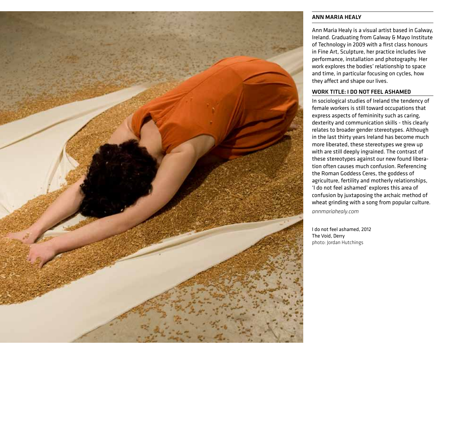

#### ann maria healy

Ann Maria Healy is a visual artist based in Galway, Ireland. Graduating from Galway & Mayo Institute of Technology in 2009 with a first class honours in Fine Art, Sculpture, her practice includes live performance, installation and photography. Her work explores the bodies' relationship to space and time, in particular focusing on cycles, how they affect and shape our lives.

#### Work Title: i do not feel ashamed

In sociological studies of Ireland the tendency of female workers is still toward occupations that express aspects of femininity such as caring, dexterity and communication skills - this clearly relates to broader gender stereotypes. Although in the last thirty years Ireland has become much more liberated, these stereotypes we grew up with are still deeply ingrained. The contrast of these stereotypes against our new found liberation often causes much confusion. Referencing the Roman Goddess Ceres, the goddess of agriculture, fertility and motherly relationships, 'I do not feel ashamed' explores this area of confusion by juxtaposing the archaic method of wheat grinding with a song from popular culture. *annmariahealy.com*

I do not feel ashamed, 2012 The Void, Derry photo: Jordan Hutchings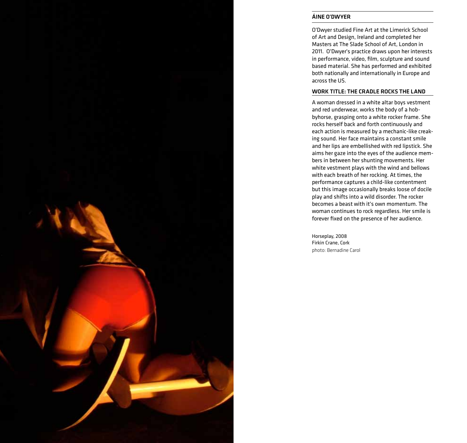#### Áine o'dwyer

O'Dwyer studied Fine Art at the Limerick School of Art and Design, Ireland and completed her Masters at The Slade School of Art, London in 2011. O'Dwyer's practice draws upon her interests in performance, video, film, sculpture and sound based material. She has performed and exhibited both nationally and internationally in Europe and across the US.

#### Work Title: the cradle rocks the land

A woman dressed in a white altar boys vestment and red underwear, works the body of a hobbyhorse, grasping onto a white rocker frame. She rocks herself back and forth continuously and each action is measured by a mechanic-like creaking sound. Her face maintains a constant smile and her lips are embellished with red lipstick. She aims her gaze into the eyes of the audience members in between her shunting movements. Her white vestment plays with the wind and bellows with each breath of her rocking. At times, the performance captures a child-like contentment but this image occasionally breaks loose of docile play and shifts into a wild disorder. The rocker becomes a beast with it's own momentum. The woman continues to rock regardless. Her smile is forever fixed on the presence of her audience.

Horseplay, 2008 Firkin Crane, Cork photo: Bernadine Carol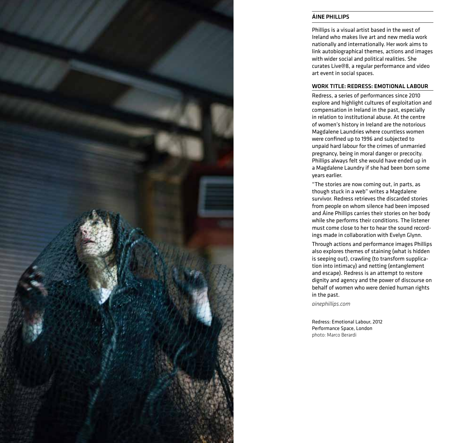

#### Áine phillips

Phillips is a visual artist based in the west of Ireland who makes live art and new media work nationally and internationally. Her work aims to link autobiographical themes, actions and images with wider social and political realities. She curates Live@8, a regular performance and video art event in social spaces.

#### Work Title: redress: emotional labour

Redress, a series of performances since 2010 explore and highlight cultures of exploitation and compensation in Ireland in the past, especially in relation to institutional abuse. At the centre of women's history in Ireland are the notorious Magdalene Laundries where countless women were confined up to 1996 and subjected to unpaid hard labour for the crimes of unmarried pregnancy, being in moral danger or precocity. Phillips always felt she would have ended up in a Magdalene Laundry if she had been born some years earlier.

"The stories are now coming out, in parts, as though stuck in a web" writes a Magdalene survivor. Redress retrieves the discarded stories from people on whom silence had been imposed and Áine Phillips carries their stories on her body while she performs their conditions. The listener must come close to her to hear the sound recordings made in collaboration with Evelyn Glynn.

Through actions and performance images Phillips also explores themes of staining (what is hidden is seeping out), crawling (to transform supplication into intimacy) and netting (entanglement and escape). Redress is an attempt to restore dignity and agency and the power of discourse on behalf of women who were denied human rights in the past.

*ainephillips.com*

Redress: Emotional Labour, 2012 Performance Space, London photo: Marco Berardi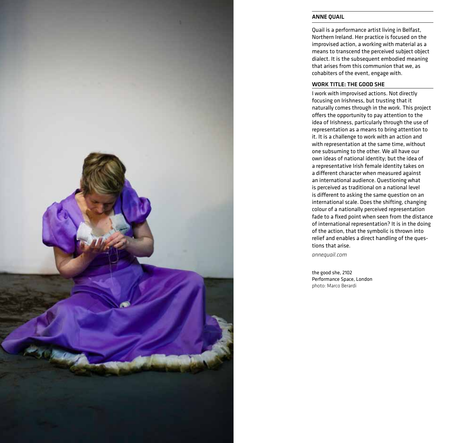

#### anne quail

Quail is a performance artist living in Belfast, Northern Ireland. Her practice is focused on the improvised action, a working with material as a means to transcend the perceived subject object dialect. It is the subsequent embodied meaning that arises from this communion that we, as cohabiters of the event, engage with.

#### Work Title: the good she

I work with improvised actions. Not directly focusing on Irishness, but trusting that it naturally comes through in the work. This project offers the opportunity to pay attention to the idea of Irishness, particularly through the use of representation as a means to bring attention to it. It is a challenge to work with an action and with representation at the same time, without one subsuming to the other. We all have our own ideas of national identity; but the idea of a representative Irish female identity takes on a different character when measured against an international audience. Questioning what is perceived as traditional on a national level is different to asking the same question on an international scale. Does the shifting, changing colour of a nationally perceived representation fade to a fixed point when seen from the distance of international representation? It is in the doing of the action, that the symbolic is thrown into relief and enables a direct handling of the questions that arise.

*annequail.com*

the good she, 2102 Performance Space, London photo: Marco Berardi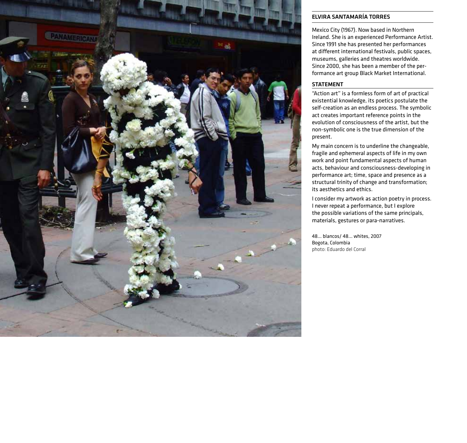

#### elvira santamaría torres

Mexico City (1967). Now based in Northern Ireland. She is an experienced Performance Artist. Since 1991 she has presented her performances at different international festivals, public spaces, museums, galleries and theatres worldwide. Since 2000, she has been a member of the performance art group Black Market International.

#### **STATEMENT**

"Action art" is a formless form of art of practical existential knowledge, its poetics postulate the self-creation as an endless process. The symbolic act creates important reference points in the evolution of consciousness of the artist, but the non-symbolic one is the true dimension of the present.

My main concern is to underline the changeable, fragile and ephemeral aspects of life in my own work and point fundamental aspects of human acts, behaviour and consciousness-developing in performance art; time, space and presence as a structural trinity of change and transformation; its aesthetics and ethics.

I consider my artwork as action poetry in process. I never repeat a performance, but I explore the possible variations of the same principals, materials, gestures or para-narratives.

48... blancos/ 48... whites, 2007 Bogota, Colombia photo: Eduardo del Corral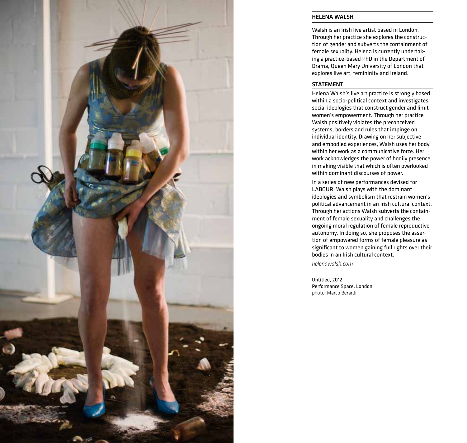

#### helena walsh

Walsh is an Irish live artist based in London. Through her practice she explores the construction of gender and subverts the containment of female sexuality. Helena is currently undertaking a practice-based PhD in the Department of Drama, Queen Mary University of London that explores live art, femininity and Ireland.

#### **STATEMENT**

Helena Walsh's live art practice is strongly based within a socio-political context and investigates social ideologies that construct gender and limit women's empowerment. Through her practice Walsh positively violates the preconceived systems, borders and rules that impinge on individual identity. Drawing on her subjective and embodied experiences, Walsh uses her body within her work as a communicative force. Her work acknowledges the power of bodily presence in making visible that which is often overlooked within dominant discourses of power.

In a series of new performances devised for LABOUR, Walsh plays with the dominant ideologies and symbolism that restrain women's political advancement in an Irish cultural context. Through her actions Walsh subverts the containment of female sexuality and challenges the ongoing moral regulation of female reproductive autonomy. In doing so, she proposes the assertion of empowered forms of female pleasure as significant to women gaining full rights over their bodies in an Irish cultural context.

*helenawalsh.com*

Untitled, 2012 Performance Space, London photo: Marco Berardi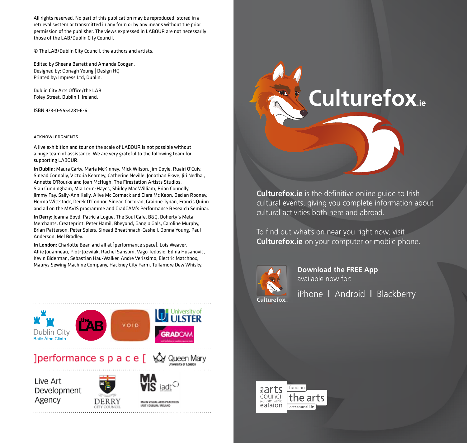All rights reserved. No part of this publication may be reproduced, stored in a retrieval system or transmitted in any form or by any means without the prior permission of the publisher. The views expressed in LABOUR are not necessarily those of the LAB/Dublin City Council.

© The LAB/Dublin City Council, the authors and artists.

Edited by Sheena Barrett and Amanda Coogan. Designed by: Oonagh Young | Design HQ Printed by: Impress Ltd, Dublin.

Dublin City Arts Office/the LAB Foley Street, Dublin 1, Ireland.

ISBN 978-0-9554281-6-6

#### Acknowledgments

A live exhibition and tour on the scale of LABOUR is not possible without a huge team of assistance. We are very grateful to the following team for supporting LABOUR:

In Dublin: Maura Carty, Maria McKinney, Mick Wilson, Jim Doyle, Ruairi O'Cuiv, Sinead Connolly, Victoria Kearney, Catherine Neville, Jonathan Ekwe, Jiri Nedbal, Annette O'Rourke and Joan McHugh, The Firestation Artists Studios, Sian Cunningham, Mia Lerm-Hayes, Shirley Mac William, Brian Connolly, Jimmy Fay, Sally-Ann Kelly, Ailve Mc Cormack and Ciara Mc Keon, Declan Rooney, Herma Wittstock, Derek O'Connor, Sinead Corcoran, Grainne Tynan, Francis Quinn and all on the MAVIS programme and GradCAM's Performance Research Seminar.

In Derry: Joanna Boyd, Patricia Logue, The Soul Cafe, B&Q, Doherty's Metal Merchants, Createprint, Peter Hamil, Bbeyond, Gang'0'Gals, Caroline Murphy, Brian Patterson, Peter Spiers, Sinead Bheathnach-Cashell, Donna Young, Paul Anderson, Mel Bradley.

In London: Charlotte Bean and all at ]performance space[, Lois Weaver, Alfie Jouanneau, Piotr Jozwiak, Rachel Sansom, Vago Tedosio, Edina Husanovic, Kevin Biderman, Sebastian Hau-Walker, Andre Verissimo, Electric Matchbox, Maurys Sewing Machine Company, Hackney City Farm, Tullamore Dew Whisky.





**Culturefox.ie** is the definitive online guide to Irish cultural events, giving you complete information about cultural activities both here and abroad.

To find out what's on near you right now, visit **Culturefox.ie** on your computer or mobile phone.



**Download the FREE App** available now for:

iPhone **|** Android **|** Blackberry